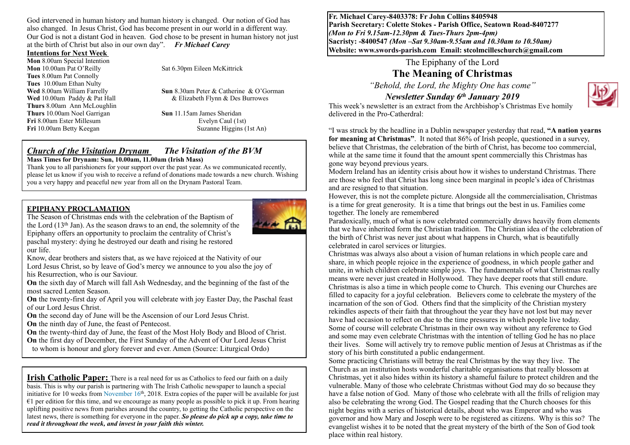God intervened in human history and human history is changed. Our notion of God has also changed. In Jesus Christ, God has become present in our world in a different way. Our God is not a distant God in heaven. God chose to be present in human history not just at the birth of Christ but also in our own day". *Fr Michael Carey* 

#### **Intentions for Next Week**

**Mon** 8.00am Special Intention **Mon** 10.00am Pat O'Reilly Sat 6.30pm Eileen McKittrick **Tues** 8.00am Pat Connolly **Tues** 10.00am Ethan Nulty **Thurs** 8.00am Ann McLoughlin **Thurs** 10.00am Noel Garrigan Sun 11.15am James Sheridan **Fri** 8.00am Ester Millesum **Evelyn Caul (1st)** Evelyn Caul (1st) **Fri** 10.00am Betty Keegan Suzanne Higgins (1st An)

**Wed** 8.00am William Farrelly **Sun** 8.30am Peter & Catherine & O'Gorman **Wed** 10.00am Paddy & Pat Hall& Elizabeth Flynn & Des Burrowes

#### *Church of the Visitation Drynam**The Visitation of the BVM* **Mass Times for Drynam: Sun, 10.00am, 11.00am (Irish Mass)**

Thank you to all parishioners for your support over the past year. As we communicated recently, please let us know if you wish to receive a refund of donations made towards a new church. Wishing you a very happy and peaceful new year from all on the Drynam Pastoral Team.

#### **EPIPHANY PROCLAMATION**



The Season of Christmas ends with the celebration of the Baptism of the Lord (13th Jan). As the season draws to an end, the solemnity of the Epiphany offers an opportunity to proclaim the centrality of Christ's paschal mystery: dying he destroyed our death and rising he restored our life.

Know, dear brothers and sisters that, as we have rejoiced at the Nativity of our Lord Jesus Christ, so by leave of God's mercy we announce to you also the joy of his Resurrection, who is our Saviour.

**On** the sixth day of March will fall Ash Wednesday, and the beginning of the fast of the most sacred Lenten Season.

**On** the twenty-first day of April you will celebrate with joy Easter Day, the Paschal feast of our Lord Jesus Christ.

**On** the second day of June will be the Ascension of our Lord Jesus Christ.

**On** the ninth day of June, the feast of Pentecost.

**On** the twenty-third day of June, the feast of the Most Holy Body and Blood of Christ. **On** the first day of December, the First Sunday of the Advent of Our Lord Jesus Christ

to whom is honour and glory forever and ever. Amen (Source: Liturgical Ordo)

**Irish Catholic Paper:** There is a real need for us as Catholics to feed our faith on a daily basis. This is why our parish is partnering with The Irish Catholic newspaper to launch a special initiative for 10 weeks from November  $16<sup>th</sup>$ , 2018. Extra copies of the paper will be available for just  $\epsilon$ 1 per edition for this time, and we encourage as many people as possible to pick it up. From hearing uplifting positive news from parishes around the country, to getting the Catholic perspective on the latest news, there is something for everyone in the paper. *So please do pick up a copy, take time to read it throughout the week, and invest in your faith this winter.*

**Fr. Michael Carey-8403378: Fr John Collins 8405948 Parish Secretary: Colette Stokes - Parish Office, Seatown Road-8407277**  *(Mon to Fri 9.15am-12.30pm & Tues-Thurs 2pm-4pm)*  **Sacristy: -8400547** *(Mon –Sat 9.30am-9.55am and 10.30am to 10.50am)* **Website: [www.swords-parish.com Email:](http://www.swords-parish.com%20%20email) stcolmcilleschurch@gmail.com**

# The Epiphany of the Lord

**The Meaning of Christmas**

*"Behold, the Lord, the Mighty One has come"* 

# *Newsletter Sunday 6th January 2019*



This week's newsletter is an extract from the Archbishop's Christmas Eve homily delivered in the Pro-Catherdral:

"I was struck by the headline in a Dublin newspaper yesterday that read, **"A nation yearns for meaning at Christmas"**. It noted that 86% of Irish people, questioned in a survey, believe that Christmas, the celebration of the birth of Christ, has become too commercial, while at the same time it found that the amount spent commercially this Christmas has gone way beyond previous years.

Modern Ireland has an identity crisis about how it wishes to understand Christmas. There are those who feel that Christ has long since been marginal in people's idea of Christmas and are resigned to that situation.

However, this is not the complete picture. Alongside all the commercialisation, Christmas is a time for great generosity. It is a time that brings out the best in us. Families come together. The lonely are remembered

Paradoxically, much of what is now celebrated commercially draws heavily from elements that we have inherited form the Christian tradition. The Christian idea of the celebration of the birth of Christ was never just about what happens in Church, what is beautifully celebrated in carol services or liturgies.

Christmas was always also about a vision of human relations in which people care and share, in which people rejoice in the experience of goodness, in which people gather and unite, in which children celebrate simple joys. The fundamentals of what Christmas really means were never just created in Hollywood. They have deeper roots that still endure. Christmas is also a time in which people come to Church. This evening our Churches are filled to capacity for a joyful celebration. Believers come to celebrate the mystery of the incarnation of the son of God. Others find that the simplicity of the Christian mystery rekindles aspects of their faith that throughout the year they have not lost but may never have had occasion to reflect on due to the time pressures in which people live today. Some of course will celebrate Christmas in their own way without any reference to God and some may even celebrate Christmas with the intention of telling God he has no place their lives. Some will actively try to remove public mention of Jesus at Christmas as if the story of his birth constituted a public endangerment.

Some practicing Christians will betray the real Christmas by the way they live. The Church as an institution hosts wonderful charitable organisations that really blossom at Christmas, yet it also hides within its history a shameful failure to protect children and the vulnerable. Many of those who celebrate Christmas without God may do so because they have a false notion of God. Many of those who celebrate with all the frills of religion may also be celebrating the wrong God. The Gospel reading that the Church chooses for this night begins with a series of historical details, about who was Emperor and who was governor and how Mary and Joseph were to be registered as citizens. Why is this so? The evangelist wishes it to be noted that the great mystery of the birth of the Son of God took place within real history.